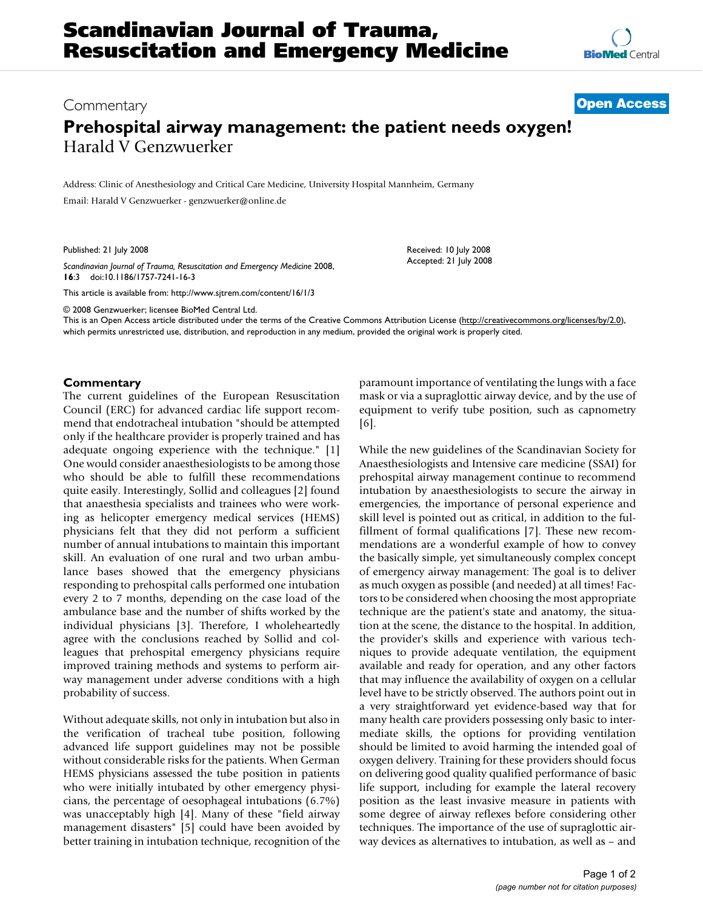## Commentary **[Open Access](http://www.biomedcentral.com/info/about/charter/) Prehospital airway management: the patient needs oxygen!** Harald V Genzwuerker

Address: Clinic of Anesthesiology and Critical Care Medicine, University Hospital Mannheim, Germany

Email: Harald V Genzwuerker - genzwuerker@online.de

Published: 21 July 2008

*Scandinavian Journal of Trauma, Resuscitation and Emergency Medicine* 2008, **16**:3 doi:10.1186/1757-7241-16-3

[This article is available from: http://www.sjtrem.com/content/16/1/3](http://www.sjtrem.com/content/16/1/3)

© 2008 Genzwuerker; licensee BioMed Central Ltd.

This is an Open Access article distributed under the terms of the Creative Commons Attribution License [\(http://creativecommons.org/licenses/by/2.0\)](http://creativecommons.org/licenses/by/2.0), which permits unrestricted use, distribution, and reproduction in any medium, provided the original work is properly cited.

## **Commentary**

The current guidelines of the European Resuscitation Council (ERC) for advanced cardiac life support recommend that endotracheal intubation "should be attempted only if the healthcare provider is properly trained and has adequate ongoing experience with the technique." [1] One would consider anaesthesiologists to be among those who should be able to fulfill these recommendations quite easily. Interestingly, Sollid and colleagues [2] found that anaesthesia specialists and trainees who were working as helicopter emergency medical services (HEMS) physicians felt that they did not perform a sufficient number of annual intubations to maintain this important skill. An evaluation of one rural and two urban ambulance bases showed that the emergency physicians responding to prehospital calls performed one intubation every 2 to 7 months, depending on the case load of the ambulance base and the number of shifts worked by the individual physicians [3]. Therefore, I wholeheartedly agree with the conclusions reached by Sollid and colleagues that prehospital emergency physicians require improved training methods and systems to perform airway management under adverse conditions with a high probability of success.

Without adequate skills, not only in intubation but also in the verification of tracheal tube position, following advanced life support guidelines may not be possible without considerable risks for the patients. When German HEMS physicians assessed the tube position in patients who were initially intubated by other emergency physicians, the percentage of oesophageal intubations (6.7%) was unacceptably high [4]. Many of these "field airway management disasters" [5] could have been avoided by better training in intubation technique, recognition of the paramount importance of ventilating the lungs with a face mask or via a supraglottic airway device, and by the use of equipment to verify tube position, such as capnometry [6].

Received: 10 July 2008 Accepted: 21 July 2008

While the new guidelines of the Scandinavian Society for Anaesthesiologists and Intensive care medicine (SSAI) for prehospital airway management continue to recommend intubation by anaesthesiologists to secure the airway in emergencies, the importance of personal experience and skill level is pointed out as critical, in addition to the fulfillment of formal qualifications [7]. These new recommendations are a wonderful example of how to convey the basically simple, yet simultaneously complex concept of emergency airway management: The goal is to deliver as much oxygen as possible (and needed) at all times! Factors to be considered when choosing the most appropriate technique are the patient's state and anatomy, the situation at the scene, the distance to the hospital. In addition, the provider's skills and experience with various techniques to provide adequate ventilation, the equipment available and ready for operation, and any other factors that may influence the availability of oxygen on a cellular level have to be strictly observed. The authors point out in a very straightforward yet evidence-based way that for many health care providers possessing only basic to intermediate skills, the options for providing ventilation should be limited to avoid harming the intended goal of oxygen delivery. Training for these providers should focus on delivering good quality qualified performance of basic life support, including for example the lateral recovery position as the least invasive measure in patients with some degree of airway reflexes before considering other techniques. The importance of the use of supraglottic airway devices as alternatives to intubation, as well as – and